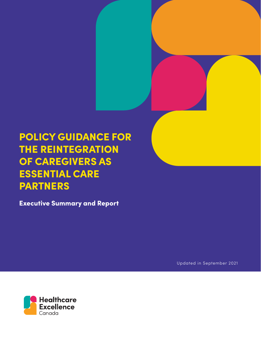# POLICY GUIDANCE FOR THE REINTEGRATION OF CAREGIVERS AS ESSENTIAL CARE PARTNERS

Executive Summary and Report

Updated in September 2021

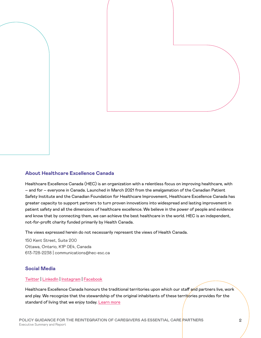

#### **About Healthcare Excellence Canada**

Healthcare Excellence Canada (HEC) is an organization with a relentless focus on improving healthcare, with – and for – everyone in Canada. Launched in March 2021 from the amalgamation of the Canadian Patient Safety Institute and the Canadian Foundation for Healthcare Improvement, Healthcare Excellence Canada has greater capacity to support partners to turn proven innovations into widespread and lasting improvement in patient safety and all the dimensions of healthcare excellence. We believe in the power of people and evidence and know that by connecting them, we can achieve the best healthcare in the world. HEC is an independent, not-for-profit charity funded primarily by Health Canada.

The views expressed herein do not necessarily represent the views of Health Canada.

150 Kent Street, Suite 200 Ottawa, Ontario, K1P 0E4, Canada 613-728-2238 | communications@hec-esc.ca

#### **Social Media**

#### [Twitter](https://twitter.com/HE_ES_Canada) | [LinkedIn](https://www.linkedin.com/authwall?trk=bf&trkInfo=AQHbTt7gQA2fOQAAAXwECl7ozn3DGjVIFTvRs3N_p_uYKWzqHEFNiXjxAhQ3hnmxvUxtnDuFCTRILbco7eRcI5bGWht_poJIygkVkD-vIzVHnbVrA1BRc0ooAeVlNmS94QphuJ4=&originalReferer=&sessionRedirect=https%3A%2F%2Fwww.linkedin.com%2Fcompany%2Fhealthcare-excellence-canada%2F) | [Instagram](https://www.instagram.com/he_es_canada/) | [Facebook](https://www.facebook.com/HealthcareExcellenceCanada)

Healthcare Excellence Canada honours the traditional territories upon which our staff and partners live, work and play. We recognize that the stewardship of the original inhabitants of these territories provides for the standard of living that we enjoy today. [Learn more](https://www.healthcareexcellence.ca/en/about/about-us/land-acknowledgement/)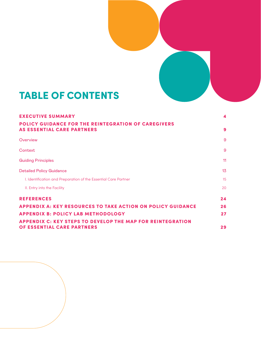

# TABLE OF CONTENTS

| <b>EXECUTIVE SUMMARY</b>                                                                        | 4                |
|-------------------------------------------------------------------------------------------------|------------------|
| POLICY GUIDANCE FOR THE REINTEGRATION OF CAREGIVERS<br><b>AS ESSENTIAL CARE PARTNERS</b>        | 9                |
| Overview                                                                                        | 9                |
| <b>Context</b>                                                                                  | 9                |
| <b>Guiding Principles</b>                                                                       | 11               |
| <b>Detailed Policy Guidance</b>                                                                 | 13 <sub>15</sub> |
| I. Identification and Preparation of the Essential Care Partner                                 | 15               |
| II. Entry into the Facility                                                                     | 20               |
| <b>REFERENCES</b>                                                                               | 24               |
| <b>APPENDIX A: KEY RESOURCES TO TAKE ACTION ON POLICY GUIDANCE</b>                              | 26               |
| <b>APPENDIX B: POLICY LAB METHODOLOGY</b>                                                       | 27               |
| <b>APPENDIX C: KEY STEPS TO DEVELOP THE MAP FOR REINTEGRATION</b><br>OF ESSENTIAL CARE PARTNERS | 29               |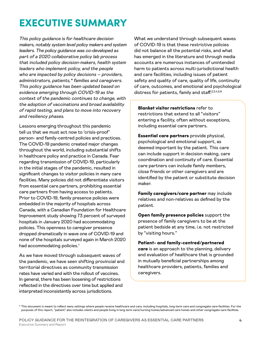# <span id="page-3-0"></span>EXECUTIVE SUMMARY

This policy guidance is for healthcare decision makers, notably system level policy makers and system leaders. The policy guidance was co-developed as part of a 2020 collaborative policy lab process that included policy decision-makers, health system leaders who implement policy, and the people who are impacted by policy decisions – providers, administrators, patients,\* families and caregivers. This policy guidance has been updated based on evidence emerging through COVID-19 as the context of the pandemic continues to change, with the adoption of vaccinations and broad availability of rapid testing, and plans to move into recovery and resiliency phases.

Lessons emerging throughout this pandemic tell us that we must act now to 'crisis-proof' person- and family-centred policies and practices. The COVID-19 pandemic created major changes throughout the world, including substantial shifts in healthcare policy and practice in Canada. Fear regarding transmission of COVID-19, particularly in the initial stages of the pandemic, resulted in significant changes to visitor policies in many care facilities. Many policies did not differentiate visitors from essential care partners, prohibiting essential care partners from having access to patients. Prior to COVID-19, family presence policies were embedded in the majority of hospitals across Canada, with a Canadian Foundation for Healthcare Improvement study showing 73 percent of surveyed hospitals in January 2020 had accommodating policies. This openness to caregiver presence dropped dramatically in wave one of COVID-19 and none of the hospitals surveyed again in March 2020 had accommodating policies.<sup>[1](#page-23-1)</sup>

As we have moved through subsequent waves of the pandemic, we have seen shifting provincial and territorial directives as community transmission rates have varied and with the rollout of vaccines. In general, there has been loosening of restrictions reflected in the directives over time but applied and interpreted inconsistently across jurisdictions.

What we understand through subsequent waves of COVID-19 is that these restrictive policies did not balance all the potential risks, and what has emerged in the literature and through media accounts are numerous instances of unintended harm to patients across multi-jurisdictional health and care facilities, including issues of patient safety and quality of care, quality of life, continuity of care, outcomes, and emotional and psychological distress for patients, family and staff[.2](#page-23-2)[,3](#page-23-3)[,4](#page-23-4),[5](#page-23-5)[,6](#page-23-6)

Blanket visitor restrictions refer to restrictions that extend to all "visitors" entering a facility, often without exceptions, including essential care partners.

Essential care partners provide physical, psychological and emotional support, as deemed important by the patient. This care can include support in decision making, care coordination and continuity of care. Essential care partners can include family members, close friends or other caregivers and are identified by the patient or substitute decision maker.

Family caregivers/care partner may include relatives and non-relatives as defined by the patient.

Open family presence policies support the presence of family caregivers to be at the patient bedside at any time, i.e. not restricted by "visiting hours."

#### Patient- and family-centred/partnered

care is an approach to the planning, delivery and evaluation of healthcare that is grounded in mutually beneficial partnerships among healthcare providers, patients, families and caregivers.

\* This document is meant to reflect many settings where people receive healthcare and care, including hospitals, long-term care and congregate care facilities. For the purposes of this report, "patient" also includes clients and people living in long term care/nursing homes/advanced care homes and other congregate care facilities.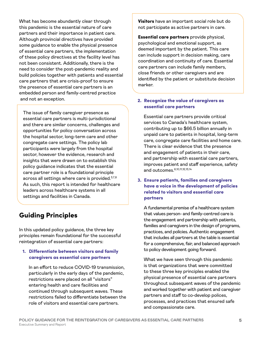What has become abundantly clear through this pandemic is the essential nature of care partners and their importance in patient care. Although provincial directives have provided some guidance to enable the physical presence of essential care partners, the implementation of these policy directives at the facility level has not been consistent. Additionally, there is the need to consider the post-pandemic reality and build policies together with patients and essential care partners that are crisis-proof to ensure the presence of essential care partners is an embedded person and family-centred practice and not an exception.

The issue of family caregiver presence as essential care partners is multi-jurisdictional and there are similar concerns, challenges and opportunities for policy conversation across the hospital sector, long-term care and other congregate care settings. The policy lab participants were largely from the hospital sector, however the evidence, research and insights that were drawn on to establish this policy guidance indicates that the essential care partner role is a foundational principle across all settings where care is provided.<sup>3[,7](#page-23-7)[,8](#page-23-8)</sup> As such, this report is intended for healthcare leaders across healthcare systems in all settings and facilities in Canada.

## Guiding Principles

In this updated policy guidance, the three key principles remain foundational for the successful reintegration of essential care partners:

#### 1. Differentiate between visitors and family caregivers as essential care partners

In an effort to reduce COVID-19 transmission, particularly in the early days of the pandemic, restrictions were placed on all "visitors" entering health and care facilities and continued through subsequent waves. These restrictions failed to differentiate between the role of visitors and essential care partners.

**Visitors** have an important social role but do not participate as active partners in care.

Essential care partners provide physical, psychological and emotional support, as deemed important by the patient. This care can include support in decision making, care coordination and continuity of care. Essential care partners can include family members, close friends or other caregivers and are identified by the patient or substitute decision marker.

### 2. Recognize the value of caregivers as essential care partners

Essential care partners provide critical services to Canada's healthcare system, contributing up to \$66.5 billion annually in unpaid care to patients in hospital, long-term care, congregate care facilities and home care. There is clear evidence that the presence and engagement of patients in their care, and partnership with essential care partners, improves patient and staff experience, safety and outcomes.[6,](#page-23-6)[10,](#page-23-9)[11](#page-23-10)[,12,](#page-23-11)[13](#page-23-12),[14](#page-23-13)

### 3. Ensure patients, families and caregivers have a voice in the development of policies related to visitors and essential care partners

A fundamental premise of a healthcare system that values person- and family-centred care is the engagement and partnership with patients, families and caregivers in the design of programs, practices, and policies. Authentic engagement that includes all partners at the table is essential for a comprehensive, fair, and balanced approach to policy development going forward.

What we have seen through this pandemic is that organizations that were committed to these three key principles enabled the physical presence of essential care partners throughout subsequent waves of the pandemic and worked together with patient and caregiver partners and staff to co-develop polices, processes, and practices that ensured safe and compassionate care.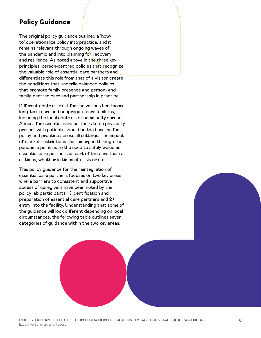## Policy Guidance

The original policy guidance outlined a 'howto' operationalize policy into practice, and it remains relevant through ongoing waves of the pandemic and into planning for recovery and resilience. As noted above in the three key principles, person-centred policies that recognize the valuable role of essential care partners and differentiate this role from that of a visitor create the conditions that underlie balanced policies that promote family presence and person- and family-centred care and partnership in practice.

Different contexts exist for the various healthcare, long-term care and congregate care facilities, including the local contexts of community spread. Access for essential care partners to be physically present with patients should be the baseline for policy and practice across all settings. The impact of blanket restrictions that emerged through the pandemic point us to the need to safely welcome essential care partners as part of the care team at all times, whether in times of crisis or not.

This policy guidance for the reintegration of essential care partners focuses on two key areas where barriers to consistent and supportive access of caregivers have been noted by the policy lab participants: 1) identification and preparation of essential care partners and 2) entry into the facility. Understanding that some of the guidance will look different depending on local circumstances, the following table outlines seven categories of guidance within the two key areas.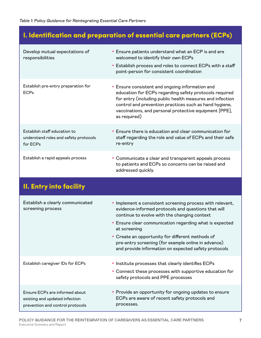## I. Identification and preparation of essential care partners (ECPs)

| Develop mutual expectations of<br>responsibilities                                | • Ensure patients understand what an ECP is and are<br>welcomed to identify their own ECPs<br>• Establish process and roles to connect ECPs with a staff<br>point-person for consistent coordination                                                                                                       |
|-----------------------------------------------------------------------------------|------------------------------------------------------------------------------------------------------------------------------------------------------------------------------------------------------------------------------------------------------------------------------------------------------------|
| Establish pre-entry preparation for<br><b>ECPs</b>                                | • Ensure consistent and ongoing information and<br>education for ECPs regarding safety protocols required<br>for entry (including public health measures and infection<br>control and prevention practices such as hand hygiene,<br>vaccinations, and personal protective equipment [PPE],<br>as required) |
| Establish staff education to<br>understand roles and safety protocols<br>for ECPs | • Ensure there is education and clear communication for<br>staff regarding the role and value of ECPs and their safe<br>re-entry                                                                                                                                                                           |
| Establish a rapid appeals process                                                 | • Communicate a clear and transparent appeals process<br>to patients and ECPs so concerns can be raised and<br>addressed quickly.                                                                                                                                                                          |

## II. Entry into facility

| Establish a clearly communicated<br>screening process                                                | • Implement a consistent screening process with relevant,<br>evidence-informed protocols and questions that will<br>continue to evolve with the changing context |
|------------------------------------------------------------------------------------------------------|------------------------------------------------------------------------------------------------------------------------------------------------------------------|
|                                                                                                      | • Ensure clear communication regarding what is expected<br>at screening                                                                                          |
|                                                                                                      | • Create an opportunity for different methods of<br>pre-entry screening (for example online in advance)<br>and provide information on expected safety protocols  |
| Establish caregiver IDs for ECPs                                                                     | • Institute processes that clearly identifies ECPs<br>• Connect these processes with supportive education for<br>safety protocols and PPE processes              |
| Ensure ECPs are informed about<br>existing and updated infection<br>prevention and control protocols | • Provide an opportunity for ongoing updates to ensure<br>ECPs are aware of recent safety protocols and<br>processes.                                            |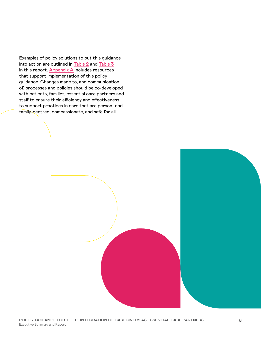Examples of policy solutions to put this guidance into action are outlined in [Table 2](#page-16-0) and [Table 3](#page-21-0) in this report. [Appendix A](#page-25-0) includes resources that support implementation of this policy guidance. Changes made to, and communication of, processes and policies should be co-developed with patients, families, essential care partners and staff to ensure their efficiency and effectiveness to support practices in care that are person- and family-centred, compassionate, and safe for all.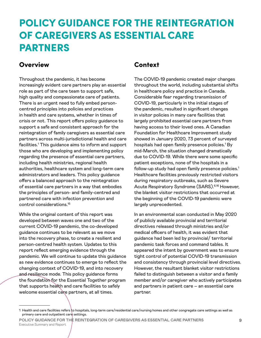# <span id="page-8-0"></span>POLICY GUIDANCE FOR THE REINTEGRATION OF CAREGIVERS AS ESSENTIAL CARE PARTNERS

## **Overview**

Throughout the pandemic, it has become increasingly evident care partners play an essential role as part of the care team to support safe, high quality and compassionate care of patients. There is an urgent need to fully embed personcentred principles into policies and practices in health and care systems, whether in times of crisis or not. This report offers policy guidance to support a safe and consistent approach for the reintegration of family caregivers as essential care partners across multi-jurisdictional health and care facilities.1 This guidance aims to inform and support those who are developing and implementing policy regarding the presence of essential care partners, including health ministries, regional health authorities, healthcare system and long-term care administrators and leaders. This policy guidance offers a balanced approach to the reintegration of essential care partners in a way that embodies the principles of person- and family-centred and partnered care with infection prevention and control considerations.[15](#page-23-14)

While the original content of this report was developed between waves one and two of the current COVID-19 pandemic, the co-developed guidance continues to be relevant as we move into the recovery phase, to create a resilient and person-centred health system. Updates to this report reflect emerging evidence through the pandemic. We will continue to update this guidance as new evidence continues to emerge to reflect the changing context of COVID-19, and into recovery and resilience mode. This policy guidance forms the foundation for the Essential Together program that supports health and care facilities to safely welcome essential care partners, at all times.

## Context

The COVID-19 pandemic created major changes throughout the world, including substantial shifts in healthcare policy and practice in Canada. Considerable fear regarding transmission of COVID-19, particularly in the initial stages of the pandemic, resulted in significant changes in visitor policies in many care facilities that largely prohibited essential care partners from having access to their loved ones. A Canadian Foundation for Healthcare Improvement study showed in January 2020, 73 percent of surveyed hospitals had open family presence policies.<sup>[1](#page-23-1)</sup> By mid-March, the situation changed dramatically due to COVID-19. While there were some specific patient exceptions, none of the hospitals in a follow-up study had open family presence policies.<sup>[1](#page-23-1)</sup> Healthcare facilities previously restricted visitors during respiratory outbreaks, such as Severe Acute Respiratory Syndrome (SARS)[.6](#page-23-6)[,16](#page-23-15) However, the blanket visitor restrictions that occurred at the beginning of the COVID-19 pandemic were largely unprecedented.

In an environmental scan conducted in May 2020 of publicly available provincial and territorial directives released through ministries and/or medical officers of health, it was evident that guidance had been led by provincial/ territorial pandemic task forces and command tables. It appeared the intent by government was to ensure tight control of potential COVID-19 transmission and consistency through provincial level directives. However, the resultant blanket visitor restrictions failed to distinguish between a visitor and a family member and/or caregiver who actively participates and partners in patient care – an essential care partner.

<sup>1</sup> Health and care facilities refers to hospitals, long-term care/residential care/nursing homes and other congregate care settings as well as primary care and outpatient care settings.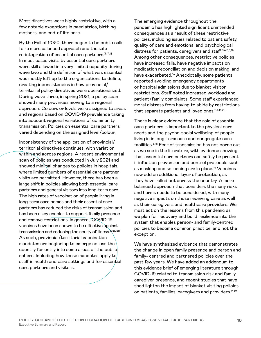Most directives were highly restrictive, with a few notable exceptions in paediatrics, birthing mothers, and end-of-life care.

By the Fall of 2020, there began to be public calls for a more balanced approach and the safe re-integration of essential care partners.<sup>[3](#page-23-3),[17,](#page-23-16)[18](#page-23-17)</sup> In most cases visits by essential care partners were still allowed in a very limited capacity during wave two and the definition of what was essential was mostly left up to the organizations to define, creating inconsistencies in how provincial/ territorial policy directives were operationalized. During wave three, in spring 2021, a policy scan showed many provinces moving to a regional approach. Colours or levels were assigned to areas and regions based on COVID-19 prevalence taking into account regional variations of community transmission. Policies on essential care partners varied depending on the assigned level/colour.

Inconsistency of the application of provincial/ territorial directives continues, with variation within and across regions. A recent environmental scan of policies was conducted in July 2021 and showed minimal changes to policies in hospitals, where limited numbers of essential care partner visits are permitted. However, there has been a large shift in policies allowing both essential care partners and general visitors into long-term care. The high rates of vaccination of people living in long-term care homes and their essential care partners has reduced the risks of transmission and has been a key enabler to support family presence and remove restrictions. In general, COVID-19 vaccines have been shown to be effective against transmission and reducing the acuity of illness.<sup>19,[20](#page-24-0),[21](#page-24-1)</sup> As such, provincial/territorial vaccination mandates are beginning to emerge across the country for entry into some areas of the public sphere. Including how these mandates apply to staff in health and care settings and for essential care partners and visitors.

The emerging evidence throughout the pandemic has highlighted significant unintended consequences as a result of these restrictive policies, including issues related to patient safety, quality of care and emotional and psychological distress for patients, caregivers and staff.<sup>[3,](#page-23-3)[4](#page-23-4)[,5](#page-23-5),[6,](#page-23-6)[14](#page-23-13)</sup> Among other consequences, restrictive policies have increased falls, have negative impacts on medication reconciliation and decision making, and have exacerbated.<sup>14</sup> Anecdotally, some patients reported avoiding emergency departments or hospital admissions due to blanket visitor restrictions. Staff noted increased workload and patient/family complaints. Some staff experienced moral distress from having to abide by restrictions that separate patients and loved ones.  $2,7,14,22$  $2,7,14,22$  $2,7,14,22$  $2,7,14,22$ 

There is clear evidence that the role of essential care partners is important to the physical care needs and the psycho-social wellbeing of people living in in long-term care and congregate care facilities.[8](#page-23-8),[18](#page-23-17) Fear of transmission has not borne out as we see in the literature, with evidence showing that essential care partners can safely be present if infection prevention and control protocols such as masking and screening are in place.<sup>14</sup> Vaccines now add an additional layer of protection, as they have rolled out across the country. A more balanced approach that considers the many risks and harms needs to be considered, with many negative impacts on those receiving care as well as their caregivers and healthcare providers. We must act on the lessons from this pandemic as we plan for recovery and build resilience into the system that enables person- and family-centred policies to become common practice, and not the exception.

We have synthesized evidence that demonstrates the change in open family presence and person and family- centred and partnered policies over the past few years. We have added an addendum to this evidence brief of emerging literature through COVID-19 related to transmission risk and family caregiver presence, and recent studies that have shed lighton the impact of blanket visiting policies on patients, families, caregivers and providers[.14](#page-23-13),[23](#page-24-3)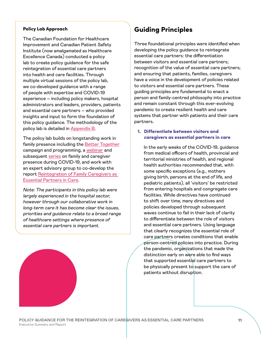#### <span id="page-10-0"></span>Policy Lab Approach

The Canadian Foundation for Healthcare Improvement and Canadian Patient Safety Institute (now amalgamated as Healthcare Excellence Canada) conducted a policy lab to create policy guidance for the safe reintegration of essential care partners into health and care facilities. Through multiple virtual sessions of the policy lab, we co-developed guidance with a range of people with expertise and COVID-19 experience – including policy makers, hospital administrators and leaders, providers, patients and essential care partners – who provided insights and input to form the foundation of this policy guidance. The methodology of the policy lab is detailed in [Appendix B](#page-26-0).

The policy lab builds on longstanding work in family presence including the [Better Together](https://www.cfhi-fcass.ca/what-we-do/spread-and-scale-proven-innovations/better-together) campaign and programming, a [webinar](https://www.healthcareexcellence.ca/en/what-we-do/what-we-do-together/spotlight-series/) and subsequent [series](https://www.cfhi-fcass.ca/opportunities/webinars/webinar-series-patient-partnership-in-a-time-of-covid-19) on family and caregiver presence during COVID-19, and work with an expert advisory group to co-develop the report [Reintegration of Family Caregivers as](https://www.cfhi-fcass.ca/innovations-tools-resources/item-detail/2020/07/08/re-integration-of-family-caregivers-as-essential-partners-in-care-in-a-time-of-covid-19)  [Essential Partners in Care](https://www.cfhi-fcass.ca/innovations-tools-resources/item-detail/2020/07/08/re-integration-of-family-caregivers-as-essential-partners-in-care-in-a-time-of-covid-19).

Note: The participants in this policy lab were largely experienced in the hospital sector, however through our collaborative work in long-term care it has become clear the issues, priorities and guidance relate to a broad range of healthcare settings where presence of essential care partners is important.

## Guiding Principles

Three foundational principles were identified when developing the policy guidance to reintegrate essential care partners: the differentiation between visitors and essential care partners; recognition of the value of essential care partners; and ensuring that patients, families, caregivers have a voice in the development of policies related to visitors and essential care partners. These guiding principles are fundamental to enact a person and family-centred philosophy into practice and remain constant through this ever-evolving pandemic to create resilient health and care systems that partner with patients and their care partners.

### 1. Differentiate between visitors and caregivers as essential partners in care

In the early weeks of the COVID-19, guidance from medical officers of health, provincial and territorial ministries of health, and regional health authorities recommended that, with some specific exceptions (e.g., mothers giving birth, persons at the end of life, and pediatric patients), all 'visitors' be restricted from entering hospitals and congregate care facilities. While directives have continued to shift over time, many directives and policies developed through subsequent waves continue to fail in their lack of clarity to differentiate between the role of visitors and essential care partners. Using language that clearly recognizes the essential role of care partners creates conditions that enable person-centred policies into practice. During the pandemic, organizations that made the distinction early on were able to find ways that supported essential care partners to be physically present to support the care of patients without disruption.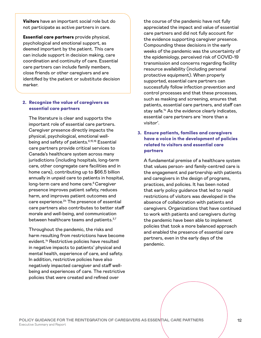Visitors have an important social role but do not participate as active partners in care.

Essential care partners provide physical, psychological and emotional support, as deemed important by the patient. This care can include support in decision making, care coordination and continuity of care. Essential care partners can include family members, close friends or other caregivers and are identified by the patient or substitute decision marker.

#### 2. Recognize the value of caregivers as essential care partners

The literature is clear and supports the important role of essential care partners. Caregiver presence directly impacts the physical, psychological, emotional well-being and safety of patients.<sup>[6,](#page-23-6)[15](#page-23-14),[16](#page-23-15)</sup> Essential care partners provide critical services to Canada's healthcare system across many jurisdictions (including hospitals, long-term care, other congregate care facilities and in home care), contributing up to \$66.5 billion annually in unpaid care to patients in hospital, long-term care and home care.<sup>[8](#page-23-8)</sup> Caregiver presence improves patient safety, reduces harm, and improves patient outcomes and care experience.<sup>24</sup> The presence of essential care partners also contributes to better staff morale and well-being, and communication between healthcare teams and patients.<sup>3,[7](#page-23-7)</sup>

Throughout the pandemic, the risks and harm resulting from restrictions have become evident.[14](#page-23-13) Restrictive policies have resulted in negative impacts to patients' physical and mental health, experience of care, and safety. In addition, restrictive policies have also negatively impacted caregiver and staff wellbeing and experiences of care. The restrictive policies that were created and refined over

the course of the pandemic have not fully appreciated the impact and value of essential care partners and did not fully account for the evidence supporting caregiver presence. Compounding these decisions in the early weeks of the pandemic was the uncertainty of the epidemiology, perceived risk of COVID-19 transmission and concerns regarding facility resource availability (including personal protective equipment). When properly supported, essential care partners can successfully follow infection prevention and control processes and that these processes, such as masking and screening, ensures that patients, essential care partners, and staff can stay safe. $14$  As the evidence clearly indicates, essential care partners are 'more than a visitor'.

### 3. Ensure patients, families and caregivers have a voice in the development of policies related to visitors and essential care partners

A fundamental premise of a healthcare system that values person- and family-centred care is the engagement and partnership with patients and caregivers in the design of programs, practices, and policies. It has been noted that early policy guidance that led to rapid restrictions of visitors was developed in the absence of collaboration with patients and caregivers. Organizations that have continued to work with patients and caregivers during the pandemic have been able to implement policies that took a more balanced approach and enabled the presence of essential care partners, even in the early days of the pandemic.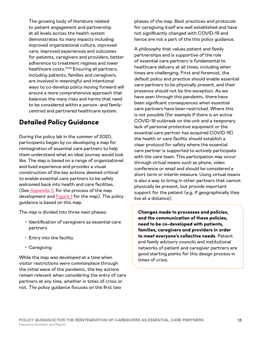<span id="page-12-0"></span>The growing body of literature related to patient engagement and partnership at all levels across the health system demonstrates its many impacts including: improved organizational culture, improved care, improved experiences and outcomes for patients, caregivers and providers, better adherence to treatment regimes and lower healthcare costs[.13](#page-23-12),[25](#page-24-5) Ensuring all partners, including patients, families and caregivers, are involved in meaningful and intentional ways to co-develop policy moving forward will ensure a more comprehensive approach that balances the many risks and harms that need to be considered within a person- and familycentred and partnered healthcare system.

## Detailed Policy Guidance

During the policy lab in the summer of 2020, participants began by co-developing a map for reintegration of essential care partners to help them understand what an ideal journey would look like. The map is based on a range of organizational and lived experience and provides a visual construction of the key actions deemed critical to enable essential care partners to be safely welcomed back into health and care facilities. (See [Appendix C](#page-28-0) for the process of the map development and **Figure 1** for the map). The policy guidance is based on this map.

The map is divided into three main phases:

- Identification of caregivers as essential care partners
- Entry into the facility
- Caregiving

While the map was developed at a time when visitor restrictions were commonplace through the initial wave of the pandemic, the key actions remain relevant when considering the entry of care partners at any time, whether in times of crisis or not. The policy guidance focuses on the first two

phases of the map. Best practices and protocols for caregiving itself are well established and have not significantly changed with COVID-19 and hence are not a part of the this policy guidance.

A philosophy that values patient and family partnerships and is supportive of the role of essential care partners is fundamental to healthcare delivery at all times, including when times are challenging. First and foremost, the default policy and practice should enable essential care partners to be physically present, and their presence should not be the exception. As we have seen through this pandemic, there have been significant consequences when essential care partners have been restricted. Where this is not possible (for example if there is an active COVID-19 outbreak on the unit and a temporary lack of personal protective equipment or the essential care partner has acquired COVID-19) the health or care facility should establish a clear protocol for safety where the essential care partner is supported to actively participate with the care team. This participation may occur through virtual means such as phone, video conference or email and should be considered a short term or interim measure. Using virtual means is also a way to bring in other partners that cannot physically be present, but provide important support for the patient (e.g. if geographically they live at a distance).

Changes made to processes and policies, and the communication of these policies, need to be co-developed with patients, families, caregivers and providers in order to meet everyone's collective needs. Patient and family advisory councils and institutional networks of patient and caregiver partners are good starting points for this design process in times of crisis.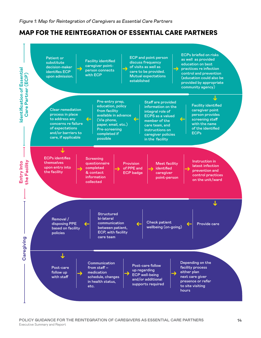## <span id="page-13-0"></span>MAP FOR THE REINTEGRATION OF ESSENTIAL CARE PARTNERS

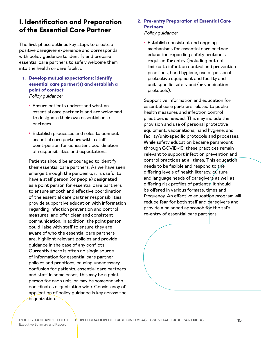## <span id="page-14-0"></span>I. Identification and Preparation of the Essential Care Partner

The first phase outlines key steps to create a positive caregiver experience and corresponds with policy guidance to identify and prepare essential care partners to safely welcome them into the health or care facility.

- 1. Develop mutual expectations: identify essential care partner(s) and establish a point of contact Policy guidance:
	- Ensure patients understand what an essential care partner is and are welcomed to designate their own essential care partners.
	- Establish processes and roles to connect essential care partners with a staff point-person for consistent coordination of responsibilities and expectations.

Patients should be encouraged to identify their essential care partners. As we have seen emerge through the pandemic, it is useful to have a staff person (or people) designated as a point person for essential care partners to ensure smooth and effective coordination of the essential care partner responsibilities, provide supportive education with information regarding infection prevention and control measures, and offer clear and consistent communication. In addition, the point person could liaise with staff to ensure they are aware of who the essential care partners are, highlight relevant policies and provide guidance in the case of any conflicts. Currently there is often no single source of information for essential care partner policies and practices, causing unnecessary confusion for patients, essential care partners and staff. In some cases, this may be a point person for each unit, or may be someone who coordinates organization wide. Consistency of application of policy guidance is key across the organization.

### 2. Pre-entry Preparation of Essential Care **Partners**

Policy guidance:

• Establish consistent and ongoing mechanisms for essential care partner education regarding safety protocols required for entry (including but not limited to infection control and prevention practices, hand hygiene, use of personal protective equipment and facility and unit-specific safety and/or vaccination protocols).

Supportive information and education for essential care partners related to public health measures and infection control practices is needed. This may include the provision and use of personal protective equipment, vaccinations, hand hygiene, and facility/unit-specific protocols and processes. While safety education became paramount through COVID-19, these practices remain relevant to support infection prevention and control practices at all times. This education needs to be flexible and respond to the differing levels of health literacy, cultural and language needs of caregivers as well as differing risk profiles of patients. It should be offered in various formats, times and frequency. An effective education program will reduce fear for both staff and caregivers and provide a balanced approach for the safe re-entry of essential care partners.

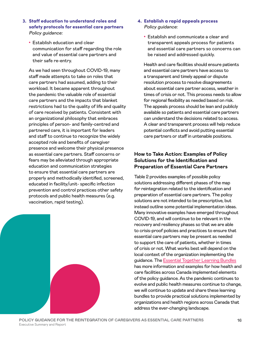- 3. Staff education to understand roles and safety protocols for essential care partners Policy guidance:
	- Establish education and clear communication for staff regarding the role and value of essential care partners and their safe re-entry.

As we had seen throughout COVID-19, many staff made attempts to take on roles that care partners had assumed, adding to their workload. It became apparent throughout the pandemic the valuable role of essential care partners and the impacts that blanket restrictions had to the quality of life and quality of care received by patients. Consistent with an organizational philosophy that embraces principles of person- and family-centred and partnered care, it is important for leaders and staff to continue to recognize the widely accepted role and benefits of caregiver presence and welcome their physical presence as essential care partners. Staff concerns or fears may be alleviated through appropriate education and communication strategies to ensure that essential care partners are properly and methodically identified, screened, educated in facility/unit- specific infection prevention and control practices other safety protocols and public health measures (e.g. vaccination, rapid testing).



- 4. Establish a rapid appeals process Policy guidance:
	- Establish and communicate a clear and transparent appeals process for patients and essential care partners so concerns can be raised and addressed quickly.

Health and care facilities should ensure patients and essential care partners have access to a transparent and timely appeal or dispute resolution process to resolve disagreements about essential care partner access, weather in times of crisis or not. This process needs to allow for regional flexibility as needed based on risk. The appeals process should be lean and publicly available so patients and essential care partners can understand the decisions related to access. A clear and transparent process will help reduce potential conflicts and avoid putting essential care partners or staff in untenable positions.

### **How to Take Action: Examples of Policy Solutions for the Identification and Preparation of Essential Care Partners**

Table 2 provides examples of possible policy solutions addressing different phases of the map for reintegration related to the identification and preparation of essential care partners. The policy solutions are not intended to be prescriptive, but instead outline some potential implementation ideas. Many innovative examples have emerged throughout COVID-19, and will continue to be relevant in the recovery and resiliency phases so that we are able to crisis-proof policies and practices to ensure that essential care partners may be present as needed to support the care of patients, whether in times of crisis or not. What works best will depend on the local context of the organization implementing the guidance. The [Essential Together Learning Bundles](https://www.healthcareexcellence.ca/en/what-we-do/what-we-do-together/essential-together/essential-together-learning-bundles/) has more information and examples for how health and care facilities across Canada implemented elements of the policy guidance. As the pandemic continues to evolve and public health measures continue to change, we will continue to update and share these learning bundles to provide practical solutions implemented by organizations and health regions across Canada that address the ever-changing landscape.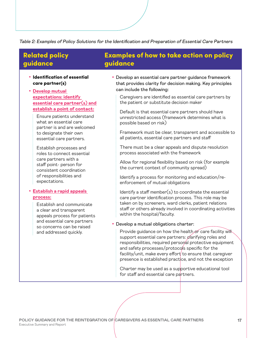<span id="page-16-0"></span>Table 2: Examples of Policy Solutions for the Identification and Preparation of Essential Care Partners

## Related policy guidance

- Identification of essential care partner(s)
- **[Develop mutual](https://www.healthcareexcellence.ca/en/what-we-do/what-we-do-together/essential-together/essential-together-learning-bundles/essential-together-learning-bundles-mutual-expectations/)  [expectations: identify](https://www.healthcareexcellence.ca/en/what-we-do/what-we-do-together/essential-together/essential-together-learning-bundles/essential-together-learning-bundles-mutual-expectations/)  [essential care partner\(s\) and](https://www.healthcareexcellence.ca/en/what-we-do/what-we-do-together/essential-together/essential-together-learning-bundles/essential-together-learning-bundles-mutual-expectations/)  [establish a point of contact](https://www.healthcareexcellence.ca/en/what-we-do/what-we-do-together/essential-together/essential-together-learning-bundles/essential-together-learning-bundles-mutual-expectations/):**
	- Ensure patients understand what an essential care partner is and are welcomed to designate their own essential care partners.
	- Establish processes and roles to connect essential care partners with a staff point- person for consistent coordination of responsibilities and expectations.

#### • **[Establish a rapid appeals](https://www.healthcareexcellence.ca/en/what-we-do/what-we-do-together/essential-together/essential-together-learning-bundles/essential-together-learning-bundles-rapid-appeals-processes/)  [process](https://www.healthcareexcellence.ca/en/what-we-do/what-we-do-together/essential-together/essential-together-learning-bundles/essential-together-learning-bundles-rapid-appeals-processes/):**

Establish and communicate a clear and transparent appeals process for patients and essential care partners so concerns can be raised and addressed quickly.

### Examples of how to take action on policy guidance

- Develop an essential care partner guidance framework that provides clarity for decision making. Key principles can include the following:
	- Caregivers are identified as essential care partners by the patient or substitute decision maker
	- Default is that essential care partners should have unrestricted access (framework determines what is possible based on risk)
	- Framework must be clear, transparent and accessible to all patients, essential care partners and staff
	- There must be a clear appeals and dispute resolution process associated with the framework
	- Allow for regional flexibility based on risk (for example the current context of community spread)
	- Identify a process for monitoring and education/reenforcement of mutual obligations
	- $Identify a staff member(s) to coordinate the essential$ care partner identification process. This role may be taken on by screeners, ward clerks, patient relations staff or others already involved in coordinating activities within the hospital/faculty.
- Develop a mutual obligations charter:
	- Provide quidance on how the health or care facility will support essential care partners: *clarifying roles and* responsibilities, required personal protective equipment and safety processes/protocols specific for the facility/unit, make every effort to ensure that caregiver presence is established practice, and not the exception
	- Charter may be used as a supportive educational tool for staff and essential care partners.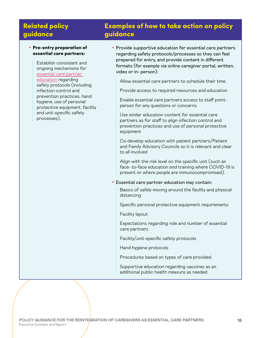## Related policy guidance

#### • Pre-entry preparation of essential care partners:

Establish consistent and ongoing mechanisms for [essential care partner](https://www.healthcareexcellence.ca/en/what-we-do/what-we-do-together/essential-together/essential-together-learning-bundles/essential-together-learning-bundles-essential-care-partner-education/)  [education](https://www.healthcareexcellence.ca/en/what-we-do/what-we-do-together/essential-together/essential-together-learning-bundles/essential-together-learning-bundles-essential-care-partner-education/) regarding safety protocols (including infection control and prevention practices, hand hygiene, use of personal protective equipment, facility and unit-specific safety processes).

## Examples of how to take action on policy guidance

• Provide supportive education for essential care partners regarding safety protocols/processes so they can feel prepared for entry, and provide content in different formats (for example via online caregiver portal, written, video or in- person):

Allow essential care partners to schedule their time

Provide access to required resources and education

Enable essential care partners access to staff pointperson for any questions or concerns

Use similar education content for essential care partners as for staff to align infection control and prevention practices and use of personal protective equipment

Co-develop education with patient partners/Patient and Family Advisory Councils so it is relevant and clear to all involved

Align with the risk level on the specific unit (such as face- to-face education and training where COVID-19 is present or where people are immunocompromised).

#### • Essential care partner education may contain:

Basics of safely moving around the facility and physical distancing

Specific personal protective equipment requirements

Facility layout

Expectations regarding role and number of essential care partners

Facility/unit-specific safety protocols

Hand hygiene protocols

Procedures based on types of care provided.

Supportive education regarding vaccines as an additional public health measure as needed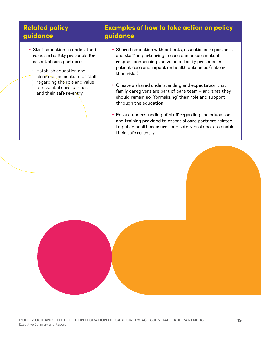## Related policy guidance

- Staff education to understand
- roles and safety protocols for essential care partners:

Establish education and clear communication for staff regarding the role and value of essential care partners and their safe re-entry.

## Examples of how to take action on policy guidance

- Shared education with patients, essential care partners and staff on partnering in care can ensure mutual respect concerning the value of family presence in patient care and impact on health outcomes (rather than risks)
- Create a shared understanding and expectation that family caregivers are part of care team – and that they should remain so, 'formalizing' their role and support through the education.
- Ensure understanding of staff regarding the education and training provided to essential care partners related to public health measures and safety protocols to enable their safe re-entry.

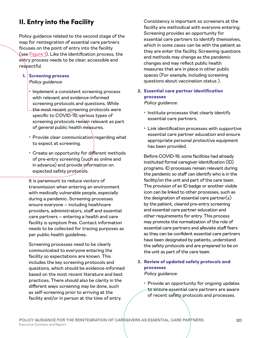## <span id="page-19-0"></span>II. Entry into the Facility

Policy guidance related to the second stage of the map for reintegration of essential care partners focuses on the point of entry into the facility (see [Figure 1\)](#page-13-0). Like the identification process, the entry process needs to be clear, accessible and respectful.

- 1. Screening process Policy guidance:
	- Implement a consistent screening process with relevant and evidence-informed screening protocols and questions. While the most recent screening protocols were specific to COVID-19, various types of screening protocols remain relevant as part of general public health measures.
	- Provide clear communication regarding what to expect at screening.
	- Create an opportunity for different methods of pre-entry screening (such as online and in advance) and provide information on expected safety protocols.

It is paramount to reduce vectors of transmission when entering an environment with medically vulnerable people, especially during a pandemic. Screening processes ensure everyone – including healthcare providers, administrators, staff and essential care partners – entering a health and care facility is symptom free. Contact information needs to be collected for tracing purposes as per public health guidelines.

Screening processes need to be clearly communicated to everyone entering the facility so expectations are known. This includes the key screening protocols and questions, which should be evidence-informed based on the most recent literature and best practices. There should also be clarity in the different ways screening may be done, such as self-screening prior to arriving at the facility and/or in person at the time of entry.

Consistency is important so screeners at the facility are methodical with everyone entering. Screening provides an opportunity for essential care partners to identify themselves, which in some cases can be with the patient as they are enter the facility. Screening questions and methods may change as the pandemic changes and may reflect public health measures that are in place in other public spaces (For example, including screening questions about vaccination status ).

2. Essential care partner identification processes

Policy guidance:

- Institute processes that clearly identify essential care partners.
- Link identification processes with supportive essential care partner education and ensure appropriate personal protective equipment has been provided.

Before COVID-19, some facilities had already instituted formal caregiver identification (ID) programs. ID processes remain relevant during the pandemic so staff can identify who is in the facility/on the unit and part of the care team. The provision of an ID badge or another visible icon can be linked to other processes, such as the designation of essential care partner(s) by the patient, cleared pre-entry screening and essential care partner education and other requirements for entry. This process may promote the normalization of the role of essential care partners and alleviate staff fears as they can be confident essential care partners have been designated by patients, understand the safety protocols and are prepared to be on the unit as part of the care team.

### 3. Review of updated safety protocols and processes Policy guidance:

• Provide an opportunity for ongoing updates to ensure essential care partners are aware of recent safety protocols and processes.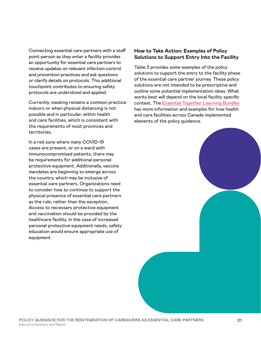Connecting essential care partners with a staff point-person as they enter a facility provides an opportunity for essential care partners to receive updates on relevant infection control and prevention practices and ask questions or clarify details on protocols. This additional touchpoint contributes to ensuring safety protocols are understood and applied.

Currently, masking remains a common practice indoors or when physical distancing is not possible and in particular, within health and care facilities, which is consistent with the requirements of most provinces and territories.

In a red zone where many COVID-19 cases are present, or on a ward with immunocompromised patients, there may be requirements for additional personal protective equipment. Additionally, vaccine mandates are beginning to emerge across the country, which may be inclusive of essential care partners. Organizations need to consider how to continue to support the physical presence of essential care partners as the rule, rather than the exception.. Access to necessary protective equipment and vaccination should be provided by the healthcare facility. In the case of increased personal protective equipment needs, safety education would ensure appropriate use of equipment

### **How to Take Action: Examples of Policy Solutions to Support Entry Into the Facility**

Table 3 provides some examples of the policy solutions to support the entry to the facility phase of the essential care partner journey. These policy solutions are not intended to be prescriptive and outline some potential implementation ideas. What works best will depend on the local facility specific context. The [Essential Together Learning Bundles](https://www.healthcareexcellence.ca/en/what-we-do/what-we-do-together/essential-together/essential-together-learning-bundles/) has more information and examples for how health and care facilities across Canada implemented elements of the policy guidance.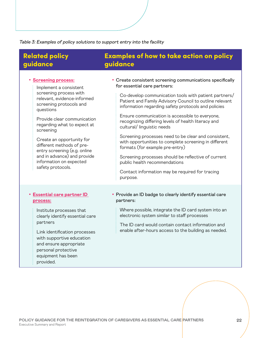<span id="page-21-0"></span>Table 3: Examples of policy solutions to support entry into the facility

## Related policy guidance

## Examples of how to take action on policy guidance

• **[Screening process:](https://www.healthcareexcellence.ca/en/what-we-do/what-we-do-together/essential-together/essential-together-learning-bundles/essential-together-learning-bundles-screening-processes/)** Implement a consistent screening process with relevant, evidence-informed screening protocols and questions Provide clear communication regarding what to expect at screening Create an opportunity for different methods of preentry screening (e.g. online and in advance) and provide information on expected safety protocols. • Create consistent screening communications specifically for essential care partners: Co-develop communication tools with patient partners/ Patient and Family Advisory Council to outline relevant information regarding safety protocols and policies Ensure communication is accessible to everyone, recognizing differing levels of health literacy and cultural/ linguistic needs Screening processes need to be clear and consistent, with opportunities to complete screening in different formats (for example pre-entry) Screening processes should be reflective of current public health recommendations Contact information may be required for tracing purpose. • **[Essential care partner ID](https://www.healthcareexcellence.ca/en/what-we-do/what-we-do-together/essential-together/essential-together-learning-bundles/essential-together-learning-bundles-caregiver-ids/)  [process](https://www.healthcareexcellence.ca/en/what-we-do/what-we-do-together/essential-together/essential-together-learning-bundles/essential-together-learning-bundles-caregiver-ids/):** Institute processes that clearly identify essential care partners Link identification processes with supportive education and ensure appropriate personal protective equipment has been provided. • Provide an ID badge to clearly identify essential care partners: Where possible, integrate the ID card system into an electronic system similar to staff processes The ID card would contain contact information and enable after-hours access to the building as needed.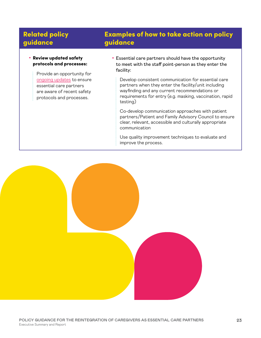## Related policy guidance

## Examples of how to take action on policy guidance

• Review updated safety protocols and processes:

> Provide an opportunity for [ongoing updates](https://www.healthcareexcellence.ca/en/what-we-do/what-we-do-together/essential-together/essential-together-learning-bundles/essential-together-learning-bundles-regular-updates/) to ensure essential care partners are aware of recent safety protocols and processes.

• Essential care partners should have the opportunity to meet with the staff point-person as they enter the facility:

Develop consistent communication for essential care partners when they enter the facility/unit including wayfinding and any current recommendations or requirements for entry (e.g. masking, vaccination, rapid testing)

Co-develop communication approaches with patient partners/Patient and Family Advisory Council to ensure clear, relevant, accessible and culturally appropriate communication

Use quality improvement techniques to evaluate and improve the process.

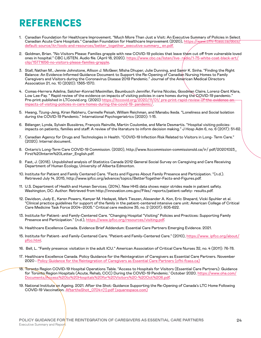# <span id="page-23-0"></span>REFERENCES

- <span id="page-23-1"></span>1. Canadian Foundation for Healthcare Improvement. "Much More Than Just a Visit: An Executive Summary of Policies in Select Canadian Acute Care Hospitals." Canadian Foundation for Healthcare Improvement (2020), [https://www.cfhi-fcass.ca/docs/](https://www.cfhi-fcass.ca/docs/default-source/itr/tools-and-resources/better_together_executive-summary_en.pdf) [default-source/itr/tools-and-resources/better\\_together\\_executive-summary\\_ en.pdf.](https://www.cfhi-fcass.ca/docs/default-source/itr/tools-and-resources/better_together_executive-summary_en.pdf)
- <span id="page-23-2"></span>2. Goldman, Brian. "No Visitors Please: Families grapple with new COVID-19 policies that leave them cut off from vulnerable loved ones in hospital." CBC LISTEN. Audio file. (April 18, 2020). [https://www.cbc.ca/listen/live- radio/1-75-white-coat-black-art/](https://www.cbc.ca/listen/live-radio/1-75-white-coat-black-art/clip/15771656-no-visitors-please-families-grapple) [clip/15771656-no-visitors-please-families-grapple.](https://www.cbc.ca/listen/live-radio/1-75-white-coat-black-art/clip/15771656-no-visitors-please-families-grapple)
- <span id="page-23-3"></span>3. Stall, Nathan M., Jennie Johnstone, Allison J. McGeer, Misha Dhuper, Julie Dunning, and Samir K. Sinha. "Finding the Right Balance: An Evidence-Informed Guidance Document to Support the Re-Opening of Canadian Nursing Homes to Family Caregivers and Visitors during the Coronavirus Disease 2019 Pandemic." Journal of the American Medical Directors Association 21, no. 10 (2020): 1365-1370.
- <span id="page-23-4"></span>4. Comas-Herrera Adelina, Salcher-Konrad Maximillan, Baumbusch Jennifer, Farina Nicolas, Goodman Claire, Lorenz-Dant Klara, Low Lee-Fay. " Rapid review of the evidence on impacts of visiting policies in care homes during the COVID-19 pandemic." Pre-print published in LTCcovid.org. (2020) [https://ltccovid.org/2020/11/01/ pre-print-rapid-review-of-the-evidence-on](https://ltccovid.org/2020/11/01/pre-print-rapid-review-of-the-evidence-on-impacts-of-visiting-policies-in-care-homes-during-the-covid-19-pandemic/)[impacts-of-visiting-policies-in-care-homes-during-the-covid-19- pandemic/](https://ltccovid.org/2020/11/01/pre-print-rapid-review-of-the-evidence-on-impacts-of-visiting-policies-in-care-homes-during-the-covid-19-pandemic/).
- <span id="page-23-5"></span>5. Hwang, Tzung-Jeng, Kiran Rabheru, Carmelle Peisah, William Reichman, and Manabu Ikeda. "Loneliness and Social Isolation during the COVID-19 Pandemic." International Psychogeriatrics (2020): 1-15.
- <span id="page-23-6"></span>6. Bélanger, Lynda, Sylvain Bussières, François Rainville, Martin Coulombe, and Marie Desmartis. "Hospital visiting policiesimpacts on patients, families and staff: A review of the literature to inform decision making." J Hosp Adm 6, no. 6 (2017): 51-62.
- <span id="page-23-7"></span>7. Canadian Agency for Drugs and Technologies in Health. "COVID-19 Infection Risk Related to Visitors in Long- Term Care." (2020). Internal document.
- <span id="page-23-8"></span>8. Ontario's Long-Term Care COVID-19 Commission. (2020), http://www.ltccommission-commissionsld.ca/ir/ pdf/20201023\_ First%20Interim%20Letter\_English.pdf.
- 9. Fast, J. (2018). Unpublished analysis of Statistics Canada 2012 General Social Survey on Caregiving and Care Receiving Department of Human Ecology, University of Alberta Edmonton.
- <span id="page-23-9"></span>10. Institute for Patient and Family Centered Care. "Facts and Figures About Family Presence and Participation. "(n.d.). Retrieved July 14, 2015, http://www.ipfcc.org/advance/topics/BetterTogether-Facts-and-Figures.pdf.
- <span id="page-23-10"></span>11. U.S. Department of Health and Human Services. (2014). New HHS data shows major strides made in patient safety. Washington, DC: Author. Retrieved from http://innovation.cms.gov/Files/ reports/patient-safety- results.pdf.
- <span id="page-23-11"></span>12. Davidson, Judy E., Karen Powers, Kamyar M. Hedayat, Mark Tieszen, Alexander A. Kon, Eric Shepard, Vicki Spuhler et al. "Clinical practice guidelines for support of the family in the patient-centered intensive care unit: American College of Critical Care Medicine Task Force 2004–2005." Critical care medicine 35, no. 2 (2007): 605-622.
- <span id="page-23-12"></span>13. Institute for Patient- and Family-Centered Care. "Changing Hospital "Visiting" Policies and Practices: Supporting Family Presence and Participation." (n.d.),<https://www.ipfcc.org/resources/visiting.pdf>.
- <span id="page-23-13"></span>14. Healthcare Excellence Canada. Evidence Brief Addendum: Essential Care Partners Emerging Evidence. 2021.
- <span id="page-23-14"></span>15. Institute for Patient- and Family-Centered Care. "Patient-and Family-Centered Care." (2010), [https://www. ipfcc.org/about/](https://www.ipfcc.org/about/pfcc.html) [pfcc.html](https://www.ipfcc.org/about/pfcc.html).
- <span id="page-23-15"></span>16. Bell, L. "Family presence: visitation in the adult ICU." American Association of Critical Care Nurses 32, no. 4 (2011): 76-78.
- <span id="page-23-16"></span>17. Healthcare Excellence Canada. Policy Guidance for the Reintegration of Caregivers as Essential Care Partners. November 2020 - [Policy Guidance for the Reintegration of Caregivers as Essential Care Partners \(cfhi-fcass.ca\)](https://www.cfhi-fcass.ca/innovations-tools-resources/item-detail/2020/11/23/Essential-Care-Partners-Policy-Guidance)
- <span id="page-23-17"></span>18. Toronto Region COVID-19 Hospital Operations Table. "Access to Hospitals for Visitors (Essential Care Partners): Guidance for Toronto Region Hospitals (Acute, Rehab, CCC) During the COVID-19 Pandemic.' October 2020. [https://www.oha.com/](https://www.oha.com/Documents/Access%20to%20Hospitals%20for%20Visitors%20-%20Oct%206.pdf) [Documents/Access%20to%20Hospitals%20for%20Visitors%20-%20Oct%206.pdf.](https://www.oha.com/Documents/Access%20to%20Hospitals%20for%20Visitors%20-%20Oct%206.pdf)
- <span id="page-23-18"></span>19. National Institute on Ageing. 2021. After the Shot: Guidance Supporting the Re-Opening of Canada's LTC Home Following COVID-19 Vaccination. [AftertheShot\\_0704+\(1\).pdf \(squarespace.com\)](https://static1.squarespace.com/static/5c2fa7b03917eed9b5a436d8/t/60e30d0744de9852f7538107/1625492748278/AftertheShot_0704+%281%29.pdf)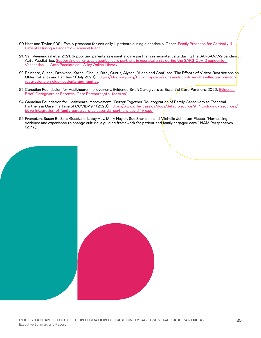- <span id="page-24-0"></span>20.Hart and Taylor. 2021. Family presence for critically ill patients during a pandemic. Chest. [Family Presence for Critically Ill](https://www.sciencedirect.com/science/article/pii/S0012369221008904)  [Patients During a Pandemic - ScienceDirect](https://www.sciencedirect.com/science/article/pii/S0012369221008904)
- <span id="page-24-1"></span>21. Van Veenendaal et al 2021. Supporting parents as essential care partners in neonatal usits during the SARS-CoV-2 pandemic. Acta Paediatrica. [Supporting parents as essential care partners in neonatal units during the SARS-CoV-2 pandemic -](https://onlinelibrary.wiley.com/doi/full/10.1111/apa.15857)  [Veenendaal - - Acta Paediatrica - Wiley Online Library](https://onlinelibrary.wiley.com/doi/full/10.1111/apa.15857)
- <span id="page-24-2"></span>22.Reinhard, Susan., Drenkard, Karen., Choula, Rita., Curtis, Alyson. "Alone and Confused: The Effects of Visitor Restrictions on Older Patients and Families." (July 2020), [https://blog.aarp.org/thinking-policy/alone-and- confused-the-effects-of-visitor](https://blog.aarp.org/thinking-policy/alone-and-confused-the-effects-of-visitor-restrictions-on-older-patients-and-families)[restrictions-on-older-patients-and-families](https://blog.aarp.org/thinking-policy/alone-and-confused-the-effects-of-visitor-restrictions-on-older-patients-and-families).
- <span id="page-24-3"></span>23. Canadian Foundation for Healthcare Improvement. [Evidence](https://www.cfhi-fcass.ca/innovations-tools-resources/item-detail/2020/11/23/Essential-Care-Partners-Evidence-Brief) Brief: Caregivers as Essential Care Partners. 2020. Evidence [Brief: Caregivers as Essential Care Partners \(cfhi-fcass.ca\)](https://www.cfhi-fcass.ca/innovations-tools-resources/item-detail/2020/11/23/Essential-Care-Partners-Evidence-Brief)
- <span id="page-24-4"></span>24. Canadian Foundation for Healthcare Improvement. "Better Together Re-Integration of Family Caregivers as Essential Partners in Care in a Time of COVID-19." (2020), [https://www.cfhi-fcass.ca/docs/default-source/itr/ tools-and-resources/](https://www.cfhi-fcass.ca/docs/default-source/itr/tools-and-resources/bt-re-integration-of-family-caregivers-as-essential-partners-covid-19-e.pdf) [bt-re-integration-of-family-caregivers-as-essential-partners-covid-19-e.pdf](https://www.cfhi-fcass.ca/docs/default-source/itr/tools-and-resources/bt-re-integration-of-family-caregivers-as-essential-partners-covid-19-e.pdf).
- <span id="page-24-5"></span>25.Frampton, Susan B., Sara Guastello, Libby Hoy, Mary Naylor, Sue Sheridan, and Michelle Johnston-Fleece. "Harnessing evidence and experience to change culture: a guiding framework for patient and family engaged care." NAM Perspectives (2017).

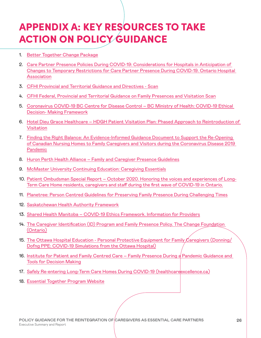# <span id="page-25-0"></span>APPENDIX A: KEY RESOURCES TO TAKE ACTION ON POLICY GUIDANCE

- 1. [Better Together Change Package](https://www.cfhi-fcass.ca/innovations-tools-resources/item-detail/2020/05/20/better-together-change-package)
- 2. [Care Partner Presence Policies During COVID-19: Considerations for Hospitals in Anticipation of](https://www.oha.com/Documents/Care%20Partner%20Presence%20Policies%20During%20COVID-19.pdf)  [Changes to Temporary Restrictions for Care Partner Presence During COVID-19. Ontario Hospital](https://www.oha.com/Documents/Care%20Partner%20Presence%20Policies%20During%20COVID-19.pdf)  [Association](https://www.oha.com/Documents/Care%20Partner%20Presence%20Policies%20During%20COVID-19.pdf)
- 3. [CFHI Provincial and Territorial Guidance and Directives Scan](http://www.cfhi-fcass.ca/docs/default-source/itr/tools-and-resources/covid-19-gov-policy_-guidance-scan-update-nov-19-2020)
- 4. [CFHI Federal, Provincial and Territorial Guidance on Family Presences and Visitation Scan](http://www.cfhi-fcass.ca/docs/default-source/itr/tools-and-resources/federal-provincial-territorial-guidance-on-family-presence-and-visitations-scan)
- 5. [Coronavirus COVID-19 BC Centre for Disease Control BC Ministry of Health: COVID-19 Ethical](https://www2.gov.bc.ca/assets/gov/health/about-bc-s-health-care-system/office-of-the-provincial-health-officer/covid-19/ethics_framework_for_covid_march_28_2020.pdf)  [Decision- Making Framework](https://www2.gov.bc.ca/assets/gov/health/about-bc-s-health-care-system/office-of-the-provincial-health-officer/covid-19/ethics_framework_for_covid_march_28_2020.pdf)
- 6. Hotel Dieu Grace Healthcare HDGH Patient Visitation Plan: Phased Approach to Reintroduction of [Visitation](https://www.hdgh.org/uploads/COVID/06.11.20%20Hotel%20Dieu%20Grace%20Healthcare%20Visitation%20Plan_Final%20v.%201.5.pdf)
- 7. [Finding the Right Balance: An Evidence-Informed Guidance Document to Support the Re-Opening](https://www.jamda.com/article/S1525-8610(20)30663-0/pdf)  [of Canadian Nursing Homes to Family Caregivers and Visitors during the Coronavirus Disease 2019](https://www.jamda.com/article/S1525-8610(20)30663-0/pdf)  [Pandemic](https://www.jamda.com/article/S1525-8610(20)30663-0/pdf)
- 8. [Huron Perth Health Alliance Family and Caregiver Presence Guidelines](https://www.hpha.ca/visiting)
- 9. [McMaster University Continuing Education: Caregiving Essentials](https://www.mcmastercce.ca/caregiving-essentials)
- 10. [Patient Ombudsman Special Report October 2020. Honoring the voices and experiences of Long-](https://www.patientombudsman.ca/Portals/0/documents/covid-19-report-en.pdf)[Term Care Home residents, caregivers and staff during the first wave of COVID-19 in Ontario.](https://www.patientombudsman.ca/Portals/0/documents/covid-19-report-en.pdf)
- 11. [Planetree: Person Centred Guidelines for Preserving Family Presence During Challenging Times](https://planetree.org/wp-content/uploads/2020/08/Published-Guidelines-on-Family-Presence-During-a-Pandemic-Final-8.13.20v5.pdf)
- 12. [Saskatchewan Health Authority Framework](https://www.cfhi-fcass.ca/docs/default-source/temp/temp/sha-family-presence-framework.pdf)
- 13. [Shared Health Manitoba COVID-19 Ethics Framework. Information for Providers](https://sharedhealthmb.ca/files/covid-19-shared-health-ethics-framework.pdf)
- 14. [The Caregiver Identification \(ID\) Program and Family Presence Policy. The Change Foundation](https://changefoundation.ca/the-caregiver-identification-id-program-and-family-presence-policy/)  [\(Ontario\)](https://changefoundation.ca/the-caregiver-identification-id-program-and-family-presence-policy/)
- 15. [The Ottawa Hospital Education Personal Protective Equipment for Family Caregivers \(Donning/](https://www.youtube.com/watch?v=GkAYc5wcn0c) [Dofng PPE: COVID-19 Simulations from the Ottawa Hospital\)](https://www.youtube.com/watch?v=GkAYc5wcn0c)
- 16. Institute for Patient and Family Centred Care Family Presence During a Pandemic Guidance and [Tools for Decision Making](https://ipfcc.org/bestpractices/covid-19/IPFCC_Family_Presence.pdf)
- 17. [Safely Re-entering Long-Term Care Homes During COVID-19 \(healthcareexcellence.ca\)](https://www.healthcareexcellence.ca/en/what-we-do/what-we-do-together/safely-re-entering-long-term-care-homes-during-covid-19/?utm_source=cfhi-fcass.ca&utm_medium=CTA&utm_campaign=Migration&utm_content=recp-en)
- 18. [Essential Together Program Website](https://www.healthcareexcellence.ca/en/what-we-do/what-we-do-together/essential-together/)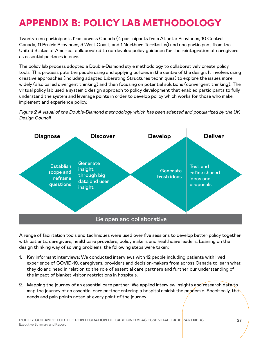# <span id="page-26-0"></span>APPENDIX B: POLICY LAB METHODOLOGY

Twenty-nine participants from across Canada (4 participants from Atlantic Provinces, 10 Central Canada, 11 Prairie Provinces, 3 West Coast, and 1 Northern Territories) and one participant from the United States of America, collaborated to co-develop policy guidance for the reintegration of caregivers as essential partners in care.

The policy lab process adopted a Double-Diamond style methodology to collaboratively create policy tools. This process puts the people using and applying policies in the centre of the design. It involves using creative approaches (including adapted Liberating Structures techniques) to explore the issues more widely (also called divergent thinking) and then focusing on potential solutions (convergent thinking). The virtual policy lab used a systemic design approach to policy development that enabled participants to fully understand the system and leverage points in order to develop policy which works for those who make, implement and experience policy.

### Figure 2 A visual of the Double-Diamond methodology which has been adapted and popularized by the UK Design Council



A range of facilitation tools and techniques were used over five sessions to develop better policy together with patients, caregivers, healthcare providers, policy makers and healthcare leaders. Leaning on the design thinking way of solving problems, the following steps were taken:

- 1. Key informant interviews: We conducted interviews with 12 people including patients with lived experience of COVID-19, caregivers, providers and decision-makers from across Canada to learn what they do and need in relation to the role of essential care partners and further our understanding of the impact of blanket visitor restrictions in hospitals.
- 2. Mapping the journey of an essential care partner: We applied interview insights and research data to map the journey of an essential care partner entering a hospital amidst the pandemic. Specifically, the needs and pain points noted at every point of the journey.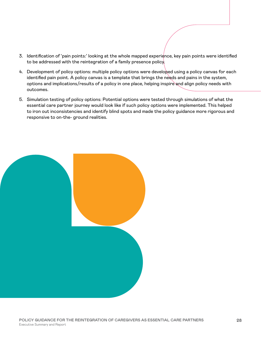- 3. Identification of 'pain points:' looking at the whole mapped experience, key pain points were identified to be addressed with the reintegration of a family presence policy.
- 4. Development of policy options: multiple policy options were developed using a policy canvas for each identified pain point. A policy canvas is a template that brings the needs and pains in the system, options and implications/results of a policy in one place, helping inspire and align policy needs with outcomes.
- 5. Simulation testing of policy options: Potential options were tested through simulations of what the essential care partner journey would look like if such policy options were implemented. This helped to iron out inconsistencies and identify blind spots and made the policy guidance more rigorous and responsive to on-the- ground realities.